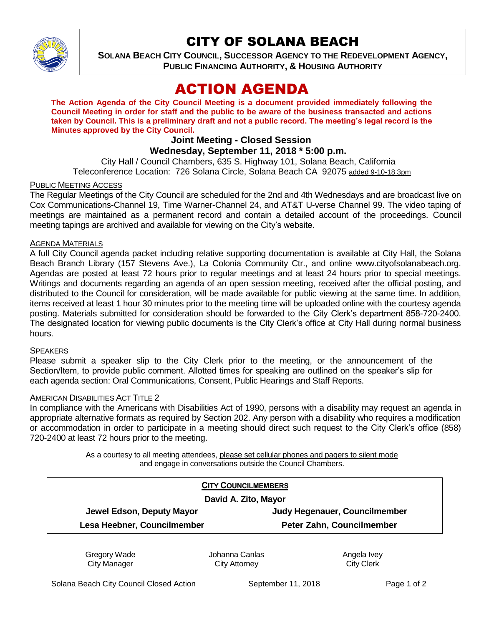

## CITY OF SOLANA BEACH

**SOLANA BEACH CITY COUNCIL, SUCCESSOR AGENCY TO THE REDEVELOPMENT AGENCY, PUBLIC FINANCING AUTHORITY, & HOUSING AUTHORITY** 

# ACTION AGENDA

**The Action Agenda of the City Council Meeting is a document provided immediately following the Council Meeting in order for staff and the public to be aware of the business transacted and actions taken by Council. This is a preliminary draft and not a public record. The meeting's legal record is the Minutes approved by the City Council.**

## **Joint Meeting - Closed Session**

**Wednesday, September 11, 2018 \* 5:00 p.m.**

City Hall / Council Chambers, 635 S. Highway 101, Solana Beach, California Teleconference Location: 726 Solana Circle, Solana Beach CA 92075 added 9-10-18 3pm

## PUBLIC MEETING ACCESS

The Regular Meetings of the City Council are scheduled for the 2nd and 4th Wednesdays and are broadcast live on Cox Communications-Channel 19, Time Warner-Channel 24, and AT&T U-verse Channel 99. The video taping of meetings are maintained as a permanent record and contain a detailed account of the proceedings. Council meeting tapings are archived and available for viewing on the City's website.

### AGENDA MATERIALS

A full City Council agenda packet including relative supporting documentation is available at City Hall, the Solana Beach Branch Library (157 Stevens Ave.), La Colonia Community Ctr., and online www.cityofsolanabeach.org. Agendas are posted at least 72 hours prior to regular meetings and at least 24 hours prior to special meetings. Writings and documents regarding an agenda of an open session meeting, received after the official posting, and distributed to the Council for consideration, will be made available for public viewing at the same time. In addition, items received at least 1 hour 30 minutes prior to the meeting time will be uploaded online with the courtesy agenda posting. Materials submitted for consideration should be forwarded to the City Clerk's department 858-720-2400. The designated location for viewing public documents is the City Clerk's office at City Hall during normal business hours.

#### **SPEAKERS**

Please submit a speaker slip to the City Clerk prior to the meeting, or the announcement of the Section/Item, to provide public comment. Allotted times for speaking are outlined on the speaker's slip for each agenda section: Oral Communications, Consent, Public Hearings and Staff Reports.

#### AMERICAN DISABILITIES ACT TITLE 2

In compliance with the Americans with Disabilities Act of 1990, persons with a disability may request an agenda in appropriate alternative formats as required by Section 202. Any person with a disability who requires a modification or accommodation in order to participate in a meeting should direct such request to the City Clerk's office (858) 720-2400 at least 72 hours prior to the meeting.

> As a courtesy to all meeting attendees, please set cellular phones and pagers to silent mode and engage in conversations outside the Council Chambers.

| Judy Hegenauer, Councilmember |
|-------------------------------|
| Peter Zahn, Councilmember     |
|                               |

Gregory Wade City Manager

Johanna Canlas City Attorney

Angela Ivey City Clerk